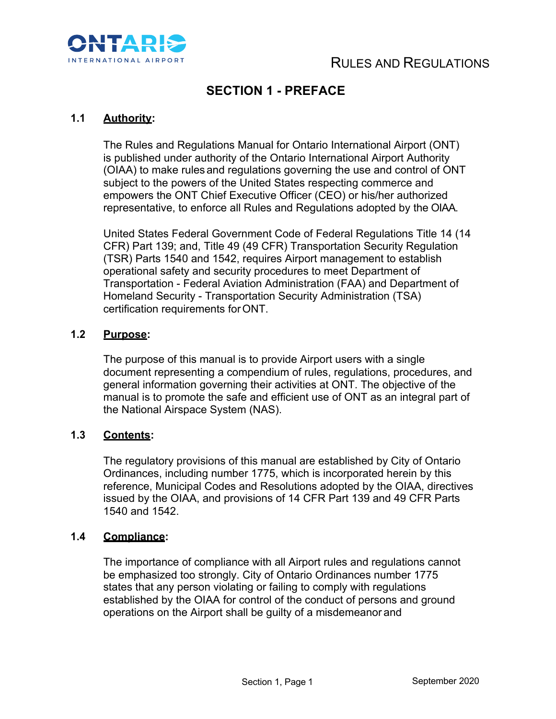

### **SECTION 1 - PREFACE**

### **1.1 Authority:**

The Rules and Regulations Manual for Ontario International Airport (ONT) is published under authority of the Ontario International Airport Authority (OIAA) to make rules and regulations governing the use and control of ONT subject to the powers of the United States respecting commerce and empowers the ONT Chief Executive Officer (CEO) or his/her authorized representative, to enforce all Rules and Regulations adopted by the OIAA.

United States Federal Government Code of Federal Regulations Title 14 (14 CFR) Part 139; and, Title 49 (49 CFR) Transportation Security Regulation (TSR) Parts 1540 and 1542, requires Airport management to establish operational safety and security procedures to meet Department of Transportation - Federal Aviation Administration (FAA) and Department of Homeland Security - Transportation Security Administration (TSA) certification requirements forONT.

### **1.2 Purpose:**

The purpose of this manual is to provide Airport users with a single document representing a compendium of rules, regulations, procedures, and general information governing their activities at ONT. The objective of the manual is to promote the safe and efficient use of ONT as an integral part of the National Airspace System (NAS).

### **1.3 Contents:**

The regulatory provisions of this manual are established by City of Ontario Ordinances, including number 1775, which is incorporated herein by this reference, Municipal Codes and Resolutions adopted by the OIAA, directives issued by the OIAA, and provisions of 14 CFR Part 139 and 49 CFR Parts 1540 and 1542.

#### **1.4 Compliance:**

The importance of compliance with all Airport rules and regulations cannot be emphasized too strongly. City of Ontario Ordinances number 1775 states that any person violating or failing to comply with regulations established by the OIAA for control of the conduct of persons and ground operations on the Airport shall be guilty of a misdemeanor and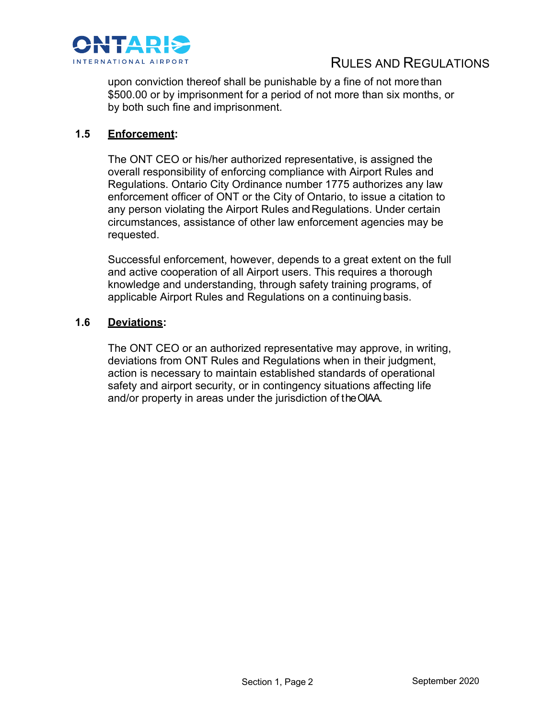

## RULES AND REGULATIONS

upon conviction thereof shall be punishable by a fine of not more than \$500.00 or by imprisonment for a period of not more than six months, or by both such fine and imprisonment.

### **1.5 Enforcement:**

The ONT CEO or his/her authorized representative, is assigned the overall responsibility of enforcing compliance with Airport Rules and Regulations. Ontario City Ordinance number 1775 authorizes any law enforcement officer of ONT or the City of Ontario, to issue a citation to any person violating the Airport Rules and Regulations. Under certain circumstances, assistance of other law enforcement agencies may be requested.

Successful enforcement, however, depends to a great extent on the full and active cooperation of all Airport users. This requires a thorough knowledge and understanding, through safety training programs, of applicable Airport Rules and Regulations on a continuing basis.

### **1.6 Deviations:**

The ONT CEO or an authorized representative may approve, in writing, deviations from ONT Rules and Regulations when in their judgment, action is necessary to maintain established standards of operational safety and airport security, or in contingency situations affecting life and/or property in areas under the jurisdiction of the OIAA.